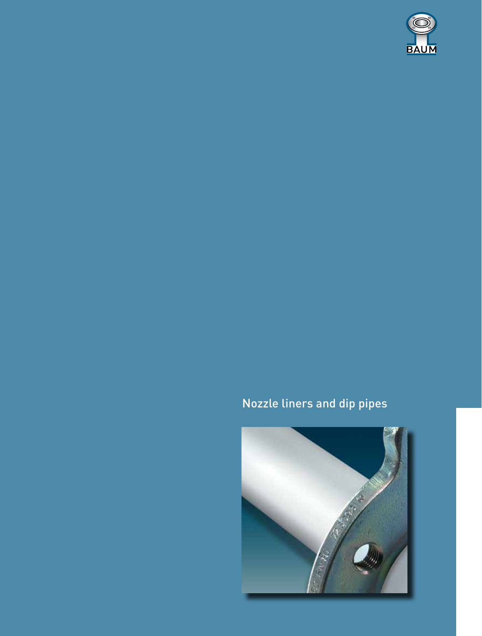

# Nozzle liners and dip pipes

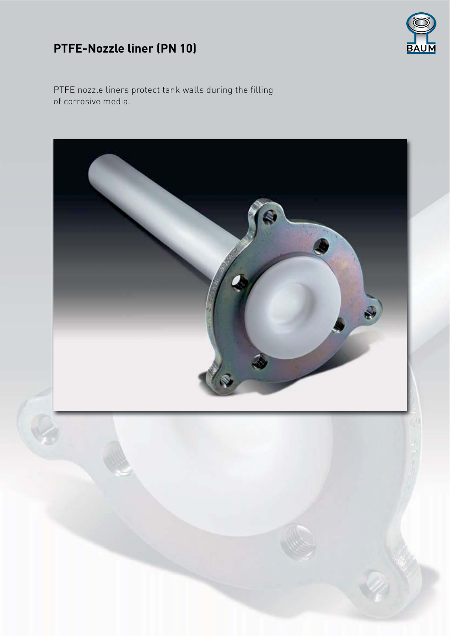## PTFE-Nozzle liner (PN 10)



PTFE nozzle liners protect tank walls during the filling of corrosive media.

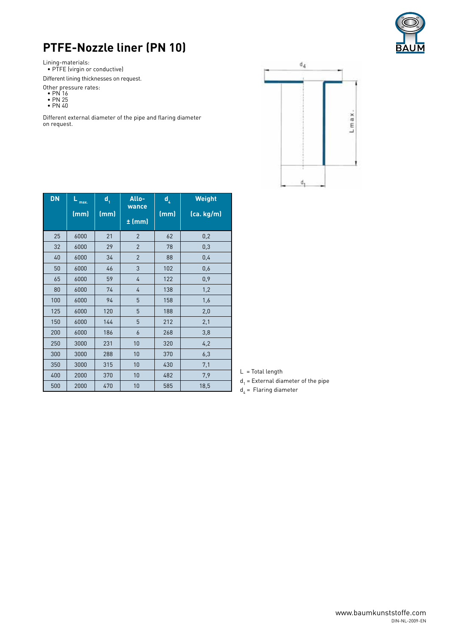

### **PTFE-Nozzle liner (PN 10)**

Lining-materials:

• PTFE (virgin or conductive)

Different lining thicknesses on request.

Other pressure rates:

- PN 16 • PN 25
- PN 40

Different external diameter of the pipe and flaring diameter on request.



| <b>DN</b> | $L_{max.}$<br>(mm) | $\mathsf{d}_{\scriptscriptstyle{1}}$<br>(mm) | Allo-<br>wance<br>$±$ (mm) | d <sub>4</sub><br>(mm) | <b>Weight</b><br>(ca.kg/m) |
|-----------|--------------------|----------------------------------------------|----------------------------|------------------------|----------------------------|
| 25        | 6000               | 21                                           | $\overline{2}$             | 62                     | 0,2                        |
| 32        | 6000               | 29                                           | $\overline{2}$             | 78                     | 0,3                        |
| 40        | 6000               | 34                                           | $\overline{2}$             | 88                     | 0,4                        |
| 50        | 6000               | 46                                           | 3                          | 102                    | 0,6                        |
| 65        | 6000               | 59                                           | 4                          | 122                    | 0,9                        |
| 80        | 6000               | 74                                           | 4                          | 138                    | 1,2                        |
| 100       | 6000               | 94                                           | 5                          | 158                    | 1,6                        |
| 125       | 6000               | 120                                          | 5                          | 188                    | 2,0                        |
| 150       | 6000               | 144                                          | 5                          | 212                    | 2,1                        |
| 200       | 6000               | 186                                          | 6                          | 268                    | 3,8                        |
| 250       | 3000               | 231                                          | 10                         | 320                    | 4,2                        |
| 300       | 3000               | 288                                          | 10                         | 370                    | 6,3                        |
| 350       | 3000               | 315                                          | 10                         | 430                    | 7,1                        |
| 400       | 2000               | 370                                          | 10                         | 482                    | 7,9                        |
| 500       | 2000               | 470                                          | 10                         | 585                    | 18,5                       |

L = Total length

 $d_1$  = External diameter of the pipe

 $d_4$  = Flaring diameter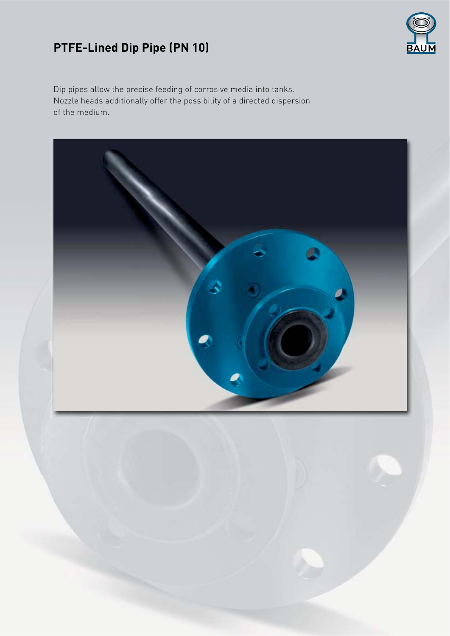## **PTFE-Lined Dip Pipe (PN 10)**



Dip pipes allow the precise feeding of corrosive media into tanks. Nozzle heads additionally offer the possibility of a directed dispersion of the medium.

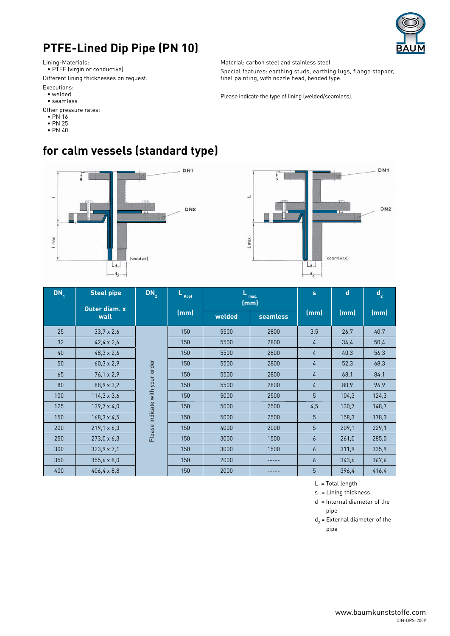#### **PTFE-Lined Dip Pipe (PN 10)**



Lining-Materials:

 $\bullet$  PTFE (virgin or conductive)

Different lining thicknesses on request.

Executions:

- welded
- seamless
- Other pressure rates:
- $\cdot$  PN 16
- $\cdot$  PN 25
- $\cdot$  PN 40

Material: carbon steel and stainless steel

Special features: earthing studs, earthing lugs, flange stopper, final painting, with nozzle head, bended type.

Please indicate the type of lining (welded/seamless).



**for calm vessels (standard type)**



| DN <sub>1</sub> | <b>Steel pipe</b>     | DN <sub>2</sub>                 | Kopf | max.<br>(mm) |                 | s              | $\mathbf d$ | $\mathbf{d}_{2}$ |
|-----------------|-----------------------|---------------------------------|------|--------------|-----------------|----------------|-------------|------------------|
|                 | Outer diam. x<br>wall |                                 | (mm) | welded       | <b>seamless</b> | (mm)           | (mm)        | (mm)             |
| 25              | $33,7 \times 2,6$     |                                 | 150  | 5500         | 2800            | 3,5            | 26,7        | 40,7             |
| 32              | $42,4 \times 2,6$     | Please indicate with your order | 150  | 5500         | 2800            | 4              | 34,4        | 50,4             |
| 40              | $48,3 \times 2,6$     |                                 | 150  | 5500         | 2800            | 4              | 40,3        | 56,3             |
| 50              | $60,3 \times 2,9$     |                                 | 150  | 5500         | 2800            | 4              | 52,3        | 68,3             |
| 65              | $76,1 \times 2,9$     |                                 | 150  | 5500         | 2800            | 4              | 68,1        | 84,1             |
| 80              | $88,9 \times 3,2$     |                                 | 150  | 5500         | 2800            | 4              | 80,9        | 96,9             |
| 100             | $114, 3 \times 3, 6$  |                                 | 150  | 5000         | 2500            | 5              | 104,3       | 124,3            |
| 125             | $139,7 \times 4,0$    |                                 | 150  | 5000         | 2500            | 4,5            | 130,7       | 148,7            |
| 150             | $168, 3 \times 4, 5$  |                                 | 150  | 5000         | 2500            | 5              | 158,3       | 178,3            |
| 200             | $219,1 \times 6,3$    |                                 | 150  | 4000         | 2000            | 5              | 209,1       | 229,1            |
| 250             | $273,0 \times 6,3$    |                                 | 150  | 3000         | 1500            | 6              | 261,0       | 285,0            |
| 300             | $323,9 \times 7,1$    |                                 | 150  | 3000         | 1500            | 6              | 311,9       | 335,9            |
| 350             | $355,6 \times 8,0$    |                                 | 150  | 2000         |                 | $\overline{6}$ | 343,6       | 367.6            |
| 400             | $406, 4 \times 8, 8$  |                                 | 150  | 2000         |                 | 5              | 396,4       | 416,4            |

 $L =$ Total length

s = Lining thickness

 $d =$ Internal diameter of the pipe

 $d_2$  = External diameter of the pipe